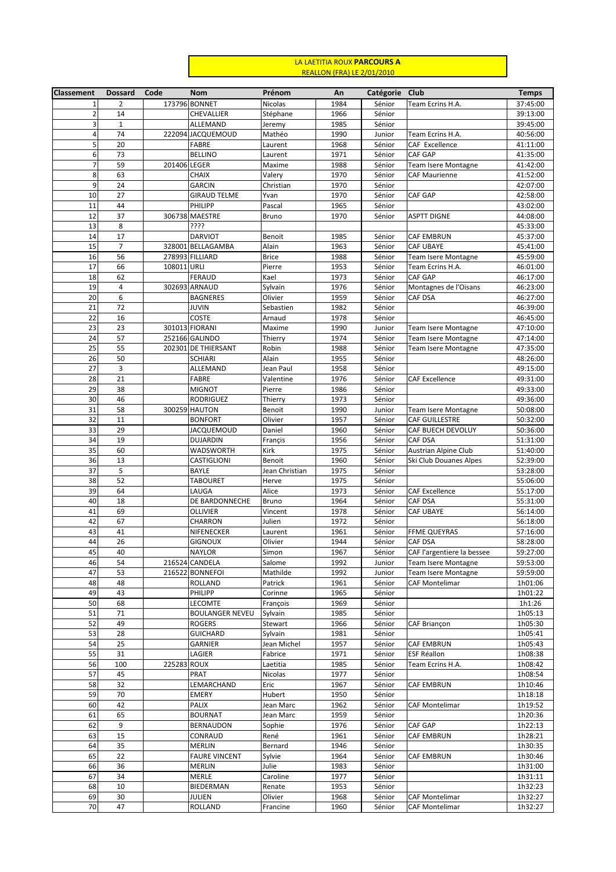## LA LAETITIA ROUX **PARCOURS A**  REALLON (FRA) LE 2/01/2010

| <b>Classement</b>       | <b>Dossard</b> | Code         | Nom                           | Prénom                 | An           | Catégorie        | Club                         | <b>Temps</b>         |
|-------------------------|----------------|--------------|-------------------------------|------------------------|--------------|------------------|------------------------------|----------------------|
| $\mathbf{1}$            | 2              |              | 173796 BONNET                 | Nicolas                | 1984         | Sénior           | Team Ecrins H.A.             | 37:45:00             |
| $\overline{2}$          | 14             |              | <b>CHEVALLIER</b>             | Stéphane               | 1966         | Sénior           |                              | 39:13:00             |
| $\overline{\mathbf{3}}$ | $\mathbf 1$    |              | ALLEMAND                      | Jeremy                 | 1985         | Sénior           |                              | 39:45:00             |
| $\overline{4}$          | 74             |              | 222094 JACQUEMOUD             | Mathéo                 | 1990         | Junior           | Team Ecrins H.A.             | 40:56:00             |
| 5 <sup>1</sup>          | 20             |              | <b>FABRE</b>                  | Laurent                | 1968         | Sénior           | CAF Excellence               | 41:11:00             |
| $6 \overline{6}$        | 73             |              | <b>BELLINO</b>                | Laurent                | 1971         | Sénior           | CAF GAP                      | 41:35:00             |
| $\overline{7}$          | 59             | 201406 LEGER |                               | Maxime                 | 1988         | Sénior           | Team Isere Montagne          | 41:42:00             |
| 8                       | 63             |              | <b>CHAIX</b>                  | Valery                 | 1970         | Sénior           | <b>CAF Maurienne</b>         | 41:52:00             |
| $\boldsymbol{9}$        | 24             |              | GARCIN                        | Christian              | 1970         | Sénior           |                              | 42:07:00             |
| 10                      | 27             |              | <b>GIRAUD TELME</b>           | Yvan                   | 1970         | Sénior           | CAF GAP                      | 42:58:00             |
| 11                      | 44             |              | PHILIPP                       | Pascal                 | 1965         | Sénior           | <b>ASPTT DIGNE</b>           | 43:02:00             |
| 12<br>13                | 37<br>8        |              | 306738 MAESTRE<br>????        | Bruno                  | 1970         | Sénior           |                              | 44:08:00<br>45:33:00 |
| 14                      | 17             |              | <b>DARVIOT</b>                | Benoit                 | 1985         | Sénior           | CAF EMBRUN                   | 45:37:00             |
| 15                      | $\overline{7}$ |              | 328001 BELLAGAMBA             | Alain                  | 1963         | Sénior           | CAF UBAYE                    | 45:41:00             |
| 16                      | 56             |              | 278993 FILLIARD               | <b>Brice</b>           | 1988         | Sénior           | Team Isere Montagne          | 45:59:00             |
| 17                      | 66             | 108011 URLI  |                               | Pierre                 | 1953         | Sénior           | Team Ecrins H.A.             | 46:01:00             |
| 18                      | 62             |              | FERAUD                        | Kael                   | 1973         | Sénior           | CAF GAP                      | 46:17:00             |
| 19                      | 4              |              | 302693 ARNAUD                 | Sylvain                | 1976         | Sénior           | Montagnes de l'Oisans        | 46:23:00             |
| 20                      | 6              |              | <b>BAGNERES</b>               | Olivier                | 1959         | Sénior           | CAF DSA                      | 46:27:00             |
| 21                      | 72             |              | <b>JUVIN</b>                  | Sebastien              | 1982         | Sénior           |                              | 46:39:00             |
| 22                      | 16             |              | <b>COSTE</b>                  | Arnaud                 | 1978         | Sénior           |                              | 46:45:00             |
| 23                      | 23             |              | 301013 FIORANI                | Maxime                 | 1990         | Junior           | Team Isere Montagne          | 47:10:00             |
| 24                      | 57             |              | 252166 GALINDO                | Thierry                | 1974         | Sénior           | Team Isere Montagne          | 47:14:00             |
| 25                      | 55             |              | 202301 DE THIERSANT           | Robin                  | 1988         | Sénior           | Team Isere Montagne          | 47:35:00             |
| 26                      | 50             |              | SCHIARI                       | Alain                  | 1955         | Sénior           |                              | 48:26:00             |
| 27                      | 3              |              | ALLEMAND                      | Jean Paul              | 1958         | Sénior           |                              | 49:15:00             |
| 28                      | 21             |              | <b>FABRE</b>                  | Valentine              | 1976         | Sénior           | <b>CAF Excellence</b>        | 49:31:00             |
| 29                      | 38             |              | <b>MIGNOT</b>                 | Pierre                 | 1986         | Sénior           |                              | 49:33:00             |
| 30                      | 46             |              | <b>RODRIGUEZ</b>              | Thierry                | 1973         | Sénior           |                              | 49:36:00             |
| 31                      | 58             |              | 300259 HAUTON                 | Benoit                 | 1990         | Junior           | Team Isere Montagne          | 50:08:00             |
| 32<br>33                | 11             |              | <b>BONFORT</b>                | Olivier                | 1957         | Sénior           | CAF GUILLESTRE               | 50:32:00             |
| 34                      | 29<br>19       |              | JACQUEMOUD<br><b>DUJARDIN</b> | Daniel<br>Francis      | 1960<br>1956 | Sénior<br>Sénior | CAF BUECH DEVOLUY<br>CAF DSA | 50:36:00<br>51:31:00 |
| 35                      | 60             |              | WADSWORTH                     | Kirk                   | 1975         | Sénior           | Austrian Alpine Club         | 51:40:00             |
| 36                      | 13             |              | <b>CASTIGLIONI</b>            | Benoit                 | 1960         | Sénior           | Ski Club Douanes Alpes       | 52:39:00             |
| 37                      | 5              |              | BAYLE                         | Jean Christian         | 1975         | Sénior           |                              | 53:28:00             |
| 38                      | 52             |              | <b>TABOURET</b>               | Herve                  | 1975         | Sénior           |                              | 55:06:00             |
| 39                      | 64             |              | LAUGA                         | Alice                  | 1973         | Sénior           | <b>CAF Excellence</b>        | 55:17:00             |
| 40                      | 18             |              | DE BARDONNECHE                | Bruno                  | 1964         | Sénior           | CAF DSA                      | 55:31:00             |
| 41                      | 69             |              | <b>OLLIVIER</b>               | Vincent                | 1978         | Sénior           | CAF UBAYE                    | 56:14:00             |
| 42                      | 67             |              | CHARRON                       | Julien                 | 1972         | Sénior           |                              | 56:18:00             |
| 43                      | 41             |              | NIFENECKER                    | Laurent                | 1961         | Sénior           | FFME QUEYRAS                 | 57:16:00             |
| 44                      | 26             |              | <b>GIGNOUX</b>                | Olivier                | 1944         | Sénior           | CAF DSA                      | 58:28:00             |
| 45                      | 40             |              | <b>NAYLOR</b>                 | Simon                  | 1967         | Sénior           | CAF l'argentiere la bessee   | 59:27:00             |
| 46                      | 54             |              | 216524 CANDELA                | Salome                 | 1992         | Junior           | Team Isere Montagne          | 59:53:00             |
| 47                      | 53             |              | 216522 BONNEFOI               | Mathilde               | 1992         | Junior           | Team Isere Montagne          | 59:59:00             |
| 48                      | 48             |              | ROLLAND                       | Patrick                | 1961         | Sénior           | <b>CAF Montelimar</b>        | 1h01:06              |
| 49                      | 43             |              | PHILIPP                       | Corinne                | 1965         | Sénior           |                              | 1h01:22              |
| 50                      | 68             |              | LECOMTE                       | François               | 1969         | Sénior           |                              | 1h1:26               |
| 51                      | 71             |              | <b>BOULANGER NEVEU</b>        | Sylvain                | 1985         | Sénior           |                              | 1h05:13              |
| 52<br>53                | 49             |              | ROGERS                        | Stewart                | 1966         | Sénior           | CAF Briançon                 | 1h05:30              |
| 54                      | 28<br>25       |              | <b>GUICHARD</b><br>GARNIER    | Sylvain<br>Jean Michel | 1981<br>1957 | Sénior<br>Sénior | CAF EMBRUN                   | 1h05:41<br>1h05:43   |
| 55                      | 31             |              | LAGIER                        | Fabrice                | 1971         | Sénior           | <b>ESF Réallon</b>           | 1h08:38              |
| 56                      | 100            | 225283       | <b>ROUX</b>                   | Laetitia               | 1985         | Sénior           | Team Ecrins H.A.             | 1h08:42              |
| 57                      | 45             |              | PRAT                          | Nicolas                | 1977         | Sénior           |                              | 1h08:54              |
| 58                      | 32             |              | LEMARCHAND                    | Eric                   | 1967         | Sénior           | CAF EMBRUN                   | 1h10:46              |
| 59                      | 70             |              | EMERY                         | Hubert                 | 1950         | Sénior           |                              | 1h18:18              |
| 60                      | 42             |              | PALIX                         | Jean Marc              | 1962         | Sénior           | CAF Montelimar               | 1h19:52              |
| 61                      | 65             |              | <b>BOURNAT</b>                | Jean Marc              | 1959         | Sénior           |                              | 1h20:36              |
| 62                      | 9              |              | BERNAUDON                     | Sophie                 | 1976         | Sénior           | CAF GAP                      | 1h22:13              |
| 63                      | 15             |              | CONRAUD                       | René                   | 1961         | Sénior           | CAF EMBRUN                   | 1h28:21              |
| 64                      | 35             |              | MERLIN                        | Bernard                | 1946         | Sénior           |                              | 1h30:35              |
| 65                      | 22             |              | <b>FAURE VINCENT</b>          | Sylvie                 | 1964         | Sénior           | CAF EMBRUN                   | 1h30:46              |
| 66                      | 36             |              | MERLIN                        | Julie                  | 1983         | Sénior           |                              | 1h31:00              |
| 67                      | 34             |              | MERLE                         | Caroline               | 1977         | Sénior           |                              | 1h31:11              |
| 68                      | 10             |              | BIEDERMAN                     | Renate                 | 1953         | Sénior           |                              | 1h32:23              |
| 69                      | 30             |              | JULIEN                        | Olivier                | 1968         | Sénior           | <b>CAF Montelimar</b>        | 1h32:27              |
| 70                      | 47             |              | ROLLAND                       | Francine               | 1960         | Sénior           | <b>CAF Montelimar</b>        | 1h32:27              |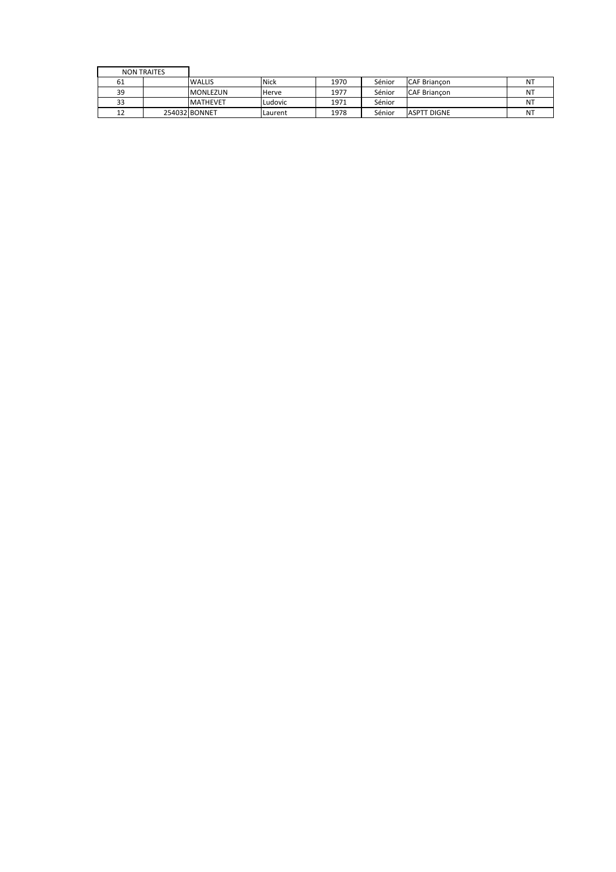| <b>NON TRAITES</b> |  |                 |             |      |        |                     |           |
|--------------------|--|-----------------|-------------|------|--------|---------------------|-----------|
|                    |  | <b>WALLIS</b>   | <b>Nick</b> | 1970 | Sénior | <b>CAF Briancon</b> | NT        |
| 39                 |  | <b>MONLEZUN</b> | Herve       | 1977 | Sénior | <b>CAF Briancon</b> | N1        |
| ر ر                |  | <b>MATHEVET</b> | Ludovic     | 1971 | Sénior |                     | N1        |
|                    |  | 254032 BONNET   | Laurent     | 1978 | Sénior | <b>ASPTT DIGNE</b>  | <b>NT</b> |